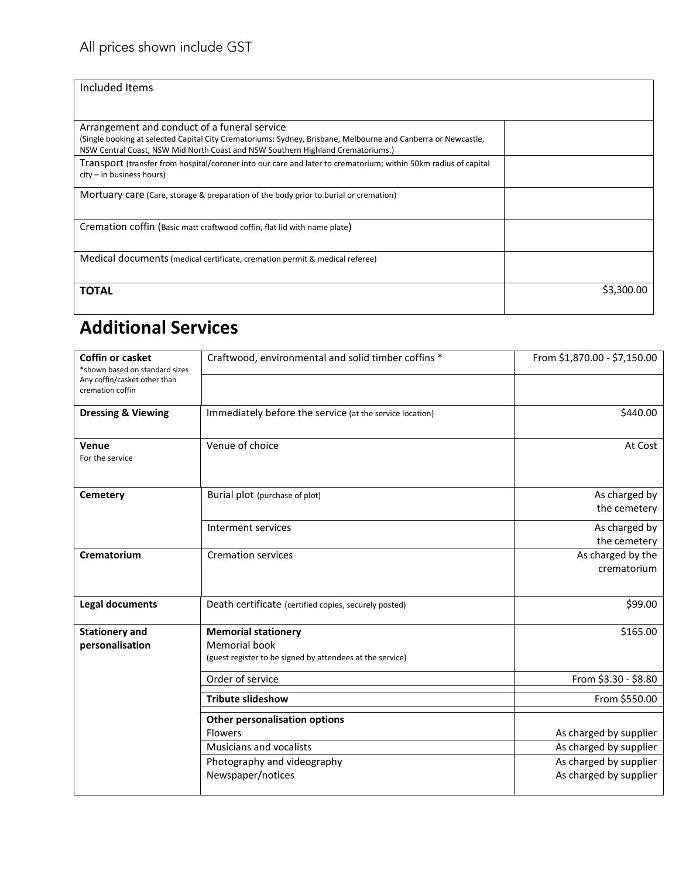## Included Items Arrangement and conduct of a funeral service (Single booking at selected Capital City Crematoriums: Sydney, Brisbane, Melbourne and Canberra or Newcastle, NSW Central Coast, NSW Mid North Coast and NSW Southern Highland Crematoriums.) Transport (transfer from hospital/coroner into our care and later to crematorium; within 50km radius of capital city – in business hours) Mortuary care (Care, storage & preparation of the body prior to burial or cremation) Cremation coffin (Basic matt craftwood coffin, flat lid with name plate) Medical documents(medical certificate, cremation permit & medical referee) **TOTAL** \$3,300.00

## **Additional Services**

| <b>Coffin or casket</b><br>*shown based on standard sizes | Craftwood, environmental and solid timber coffins *       | From \$1,870.00 - \$7,150.00     |
|-----------------------------------------------------------|-----------------------------------------------------------|----------------------------------|
| Any coffin/casket other than<br>cremation coffin          |                                                           |                                  |
| <b>Dressing &amp; Viewing</b>                             | Immediately before the service (at the service location)  | \$440.00                         |
| Venue<br>For the service                                  | Venue of choice                                           | At Cost                          |
| <b>Cemetery</b>                                           | Burial plot (purchase of plot)                            | As charged by<br>the cemetery    |
|                                                           | Interment services                                        | As charged by<br>the cemetery    |
| Crematorium                                               | <b>Cremation services</b>                                 | As charged by the<br>crematorium |
| Legal documents                                           | Death certificate (certified copies, securely posted)     | \$99.00                          |
| <b>Stationery and</b>                                     | <b>Memorial stationery</b>                                | \$165.00                         |
| personalisation                                           | <b>Memorial book</b>                                      |                                  |
|                                                           | (guest register to be signed by attendees at the service) |                                  |
|                                                           | Order of service                                          | From \$3.30 - \$8.80             |
|                                                           | <b>Tribute slideshow</b>                                  | From \$550.00                    |
|                                                           | Other personalisation options                             |                                  |
|                                                           | <b>Flowers</b>                                            | As charged by supplier           |
|                                                           | <b>Musicians and vocalists</b>                            | As charged by supplier           |
|                                                           | Photography and videography                               | As charged by supplier           |
|                                                           | Newspaper/notices                                         | As charged by supplier           |
|                                                           |                                                           |                                  |